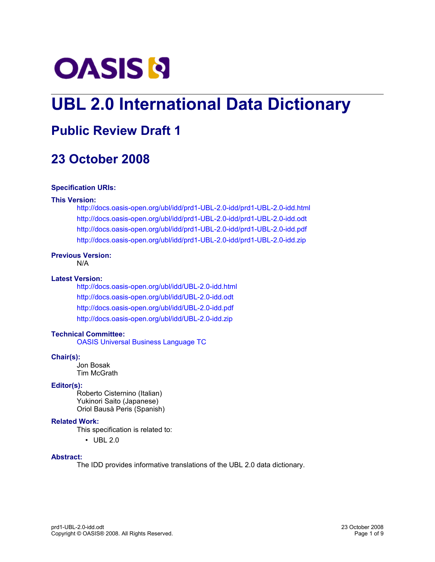

# **UBL 2.0 International Data Dictionary**

## **Public Review Draft 1**

## **23 October 2008**

### **Specification URIs:**

### **This Version:**

<http://docs.oasis-open.org/ubl/idd/prd1-UBL-2.0-idd/prd1-UBL-2.0-idd.html> <http://docs.oasis-open.org/ubl/idd/prd1-UBL-2.0-idd/prd1-UBL-2.0-idd.odt> <http://docs.oasis-open.org/ubl/idd/prd1-UBL-2.0-idd/prd1-UBL-2.0-idd.pdf> <http://docs.oasis-open.org/ubl/idd/prd1-UBL-2.0-idd/prd1-UBL-2.0-idd.zip>

### **Previous Version:**

N/A

### **Latest Version:**

<http://docs.oasis-open.org/ubl/idd/UBL-2.0-idd.html> <http://docs.oasis-open.org/ubl/idd/UBL-2.0-idd.odt> <http://docs.oasis-open.org/ubl/idd/UBL-2.0-idd.pdf> <http://docs.oasis-open.org/ubl/idd/UBL-2.0-idd.zip>

### **Technical Committee:**

[OASIS Universal Business Language TC](http://www.oasis-open.org/committees/ubl/)

#### **Chair(s):**

Jon Bosak Tim McGrath

### **Editor(s):**

Roberto Cisternino (Italian) Yukinori Saito (Japanese) Oriol Bausà Peris (Spanish)

### **Related Work:**

This specification is related to:

• UBL 2.0

### **Abstract:**

The IDD provides informative translations of the UBL 2.0 data dictionary.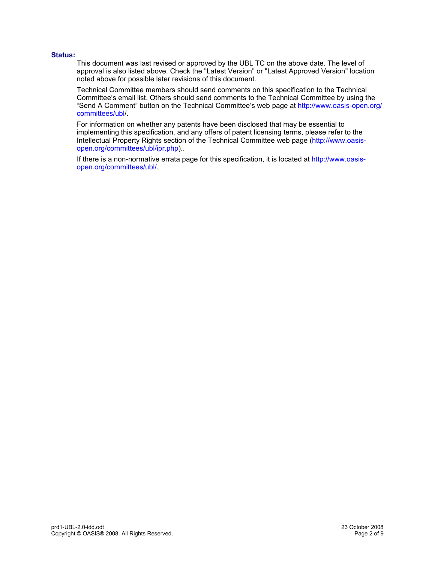### **Status:**

This document was last revised or approved by the UBL TC on the above date. The level of approval is also listed above. Check the "Latest Version" or "Latest Approved Version" location noted above for possible later revisions of this document.

Technical Committee members should send comments on this specification to the Technical Committee's email list. Others should send comments to the Technical Committee by using the "Send A Comment" button on the Technical Committee's web page at [http://www.oasis-open.org/](http://www.oasis-open.org/committees/ubl/) [committees/ubl/](http://www.oasis-open.org/committees/ubl/).

For information on whether any patents have been disclosed that may be essential to implementing this specification, and any offers of patent licensing terms, please refer to the Intellectual Property Rights section of the Technical Committee web page [\(http://www.oasis](http://www.oasis-open.org/committees/ubl/ipr.php)[open.org/committees/ubl/ipr.php\)](http://www.oasis-open.org/committees/ubl/ipr.php)..

If there is a non-normative errata page for this specification, it is located at [http://www.oasis](http://www.oasis-open.org/committees/ubl/)[open.org/committees/ubl/.](http://www.oasis-open.org/committees/ubl/)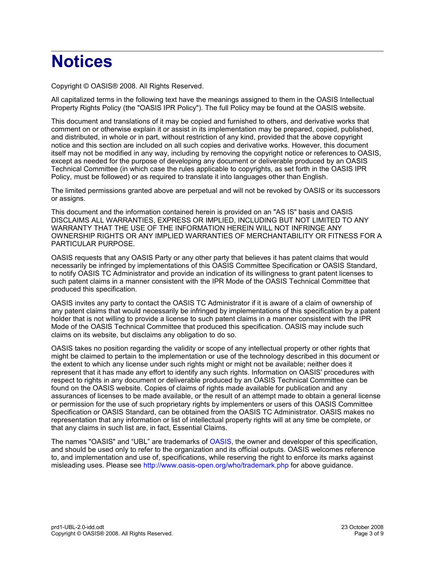# **Notices**

Copyright © OASIS® 2008. All Rights Reserved.

All capitalized terms in the following text have the meanings assigned to them in the OASIS Intellectual Property Rights Policy (the "OASIS IPR Policy"). The full Policy may be found at the OASIS website.

This document and translations of it may be copied and furnished to others, and derivative works that comment on or otherwise explain it or assist in its implementation may be prepared, copied, published, and distributed, in whole or in part, without restriction of any kind, provided that the above copyright notice and this section are included on all such copies and derivative works. However, this document itself may not be modified in any way, including by removing the copyright notice or references to OASIS, except as needed for the purpose of developing any document or deliverable produced by an OASIS Technical Committee (in which case the rules applicable to copyrights, as set forth in the OASIS IPR Policy, must be followed) or as required to translate it into languages other than English.

The limited permissions granted above are perpetual and will not be revoked by OASIS or its successors or assigns.

This document and the information contained herein is provided on an "AS IS" basis and OASIS DISCLAIMS ALL WARRANTIES, EXPRESS OR IMPLIED, INCLUDING BUT NOT LIMITED TO ANY WARRANTY THAT THE USE OF THE INFORMATION HEREIN WILL NOT INFRINGE ANY OWNERSHIP RIGHTS OR ANY IMPLIED WARRANTIES OF MERCHANTABILITY OR FITNESS FOR A PARTICULAR PURPOSE.

OASIS requests that any OASIS Party or any other party that believes it has patent claims that would necessarily be infringed by implementations of this OASIS Committee Specification or OASIS Standard, to notify OASIS TC Administrator and provide an indication of its willingness to grant patent licenses to such patent claims in a manner consistent with the IPR Mode of the OASIS Technical Committee that produced this specification.

OASIS invites any party to contact the OASIS TC Administrator if it is aware of a claim of ownership of any patent claims that would necessarily be infringed by implementations of this specification by a patent holder that is not willing to provide a license to such patent claims in a manner consistent with the IPR Mode of the OASIS Technical Committee that produced this specification. OASIS may include such claims on its website, but disclaims any obligation to do so.

OASIS takes no position regarding the validity or scope of any intellectual property or other rights that might be claimed to pertain to the implementation or use of the technology described in this document or the extent to which any license under such rights might or might not be available; neither does it represent that it has made any effort to identify any such rights. Information on OASIS' procedures with respect to rights in any document or deliverable produced by an OASIS Technical Committee can be found on the OASIS website. Copies of claims of rights made available for publication and any assurances of licenses to be made available, or the result of an attempt made to obtain a general license or permission for the use of such proprietary rights by implementers or users of this OASIS Committee Specification or OASIS Standard, can be obtained from the OASIS TC Administrator. OASIS makes no representation that any information or list of intellectual property rights will at any time be complete, or that any claims in such list are, in fact, Essential Claims.

The names "OASIS" and "UBL" are trademarks of [OASIS,](http://www.oasis-open.org/) the owner and developer of this specification, and should be used only to refer to the organization and its official outputs. OASIS welcomes reference to, and implementation and use of, specifications, while reserving the right to enforce its marks against misleading uses. Please see<http://www.oasis-open.org/who/trademark.php>for above guidance.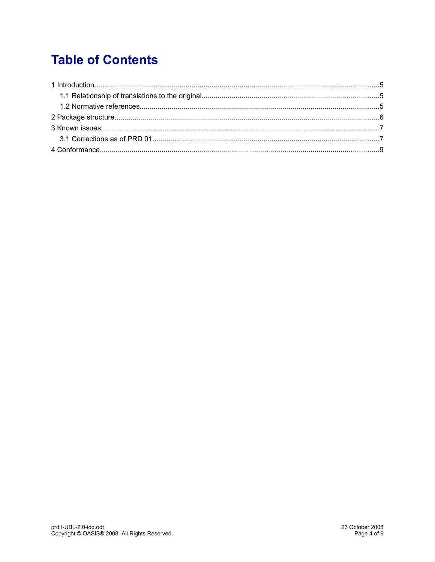## **Table of Contents**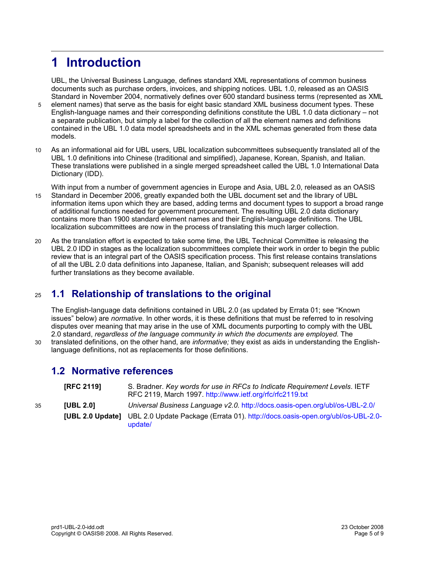## **1 Introduction**

UBL, the Universal Business Language, defines standard XML representations of common business documents such as purchase orders, invoices, and shipping notices. UBL 1.0, released as an OASIS Standard in November 2004, normatively defines over 600 standard business terms (represented as XML

- element names) that serve as the basis for eight basic standard XML business document types. These English-language names and their corresponding definitions constitute the UBL 1.0 data dictionary – not a separate publication, but simply a label for the collection of all the element names and definitions contained in the UBL 1.0 data model spreadsheets and in the XML schemas generated from these data models. 5
- As an informational aid for UBL users, UBL localization subcommittees subsequently translated all of the UBL 1.0 definitions into Chinese (traditional and simplified), Japanese, Korean, Spanish, and Italian. These translations were published in a single merged spreadsheet called the UBL 1.0 International Data Dictionary (IDD). 10
- With input from a number of government agencies in Europe and Asia, UBL 2.0, released as an OASIS Standard in December 2006, greatly expanded both the UBL document set and the library of UBL information items upon which they are based, adding terms and document types to support a broad range of additional functions needed for government procurement. The resulting UBL 2.0 data dictionary contains more than 1900 standard element names and their English-language definitions. The UBL localization subcommittees are now in the process of translating this much larger collection. 15
- As the translation effort is expected to take some time, the UBL Technical Committee is releasing the UBL 2.0 IDD in stages as the localization subcommittees complete their work in order to begin the public review that is an integral part of the OASIS specification process. This first release contains translations of all the UBL 2.0 data definitions into Japanese, Italian, and Spanish; subsequent releases will add further translations as they become available.  $20$

#### **1.1 Relationship of translations to the original** 25

The English-language data definitions contained in UBL 2.0 (as updated by Errata 01; see "Known issues" below) are *normative.* In other words, it is these definitions that must be referred to in resolving disputes over meaning that may arise in the use of XML documents purporting to comply with the UBL 2.0 standard, *regardless of the language community in which the documents are employed.* The translated definitions, on the other hand, are *informative;* they exist as aids in understanding the Englishlanguage definitions, not as replacements for those definitions.

### **1.2 Normative references**

 $30$ 

|    | <b>IRFC 21191</b> | S. Bradner. Key words for use in RFCs to Indicate Requirement Levels. IETF<br>RFC 2119, March 1997. http://www.ietf.org/rfc/rfc2119.txt |
|----|-------------------|-----------------------------------------------------------------------------------------------------------------------------------------|
| 35 | <b>IUBL 2.01</b>  | Universal Business Language v2.0. http://docs.oasis-open.org/ubl/os-UBL-2.0/                                                            |
|    |                   | [UBL 2.0 Update] UBL 2.0 Update Package (Errata 01). http://docs.oasis-open.org/ubl/os-UBL-2.0-<br>update/                              |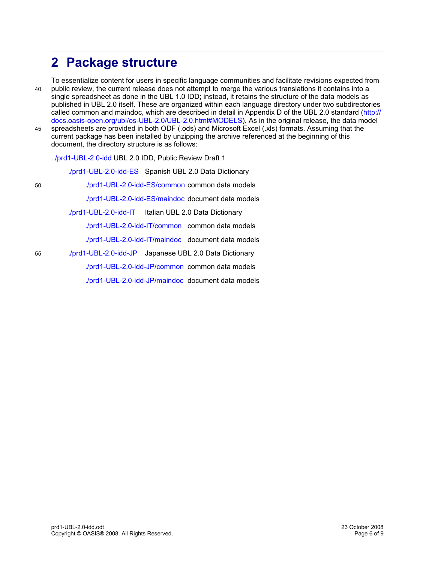## **2 Package structure**

To essentialize content for users in specific language communities and facilitate revisions expected from public review, the current release does not attempt to merge the various translations it contains into a single spreadsheet as done in the UBL 1.0 IDD; instead, it retains the structure of the data models as published in UBL 2.0 itself. These are organized within each language directory under two subdirectories called common and maindoc, which are described in detail in Appendix D of the UBL 2.0 standard [\(http://](http://docs.oasis-open.org/ubl/os-UBL-2.0/UBL-2.0.html#MODELS) [docs.oasis-open.org/ubl/os-UBL-2.0/UBL-2.0.html#MODELS\)](http://docs.oasis-open.org/ubl/os-UBL-2.0/UBL-2.0.html#MODELS). As in the original release, the data model spreadsheets are provided in both ODF (.ods) and Microsoft Excel (.xls) formats. Assuming that the 40 45

current package has been installed by unzipping the archive referenced at the beginning of this document, the directory structure is as follows:

[../prd1-UBL-2.0-idd U](http://docs.oasis-open.org/ubl/idd/prd1-UBL-2.0-idd/)BL 2.0 IDD, Public Review Draft 1

[./prd1-UBL-2.0-idd-ES](http://docs.oasis-open.org/ubl/idd/prd1-UBL-2.0-idd/prd1-UBL-2.0-idd-ES/) Spanish UBL 2.0 Data Dictionary [./prd1-UBL-2.0-idd-ES/common](http://docs.oasis-open.org/ubl/idd/prd1-UBL-2.0-idd/prd1-UBL-2.0-idd-ES/common/) common data models [./prd1-UBL-2.0-idd-ES/maindoc](http://docs.oasis-open.org/ubl/idd/prd1-UBL-2.0-idd/prd1-UBL-2.0-idd-ES/maindoc/) document data models [./prd1-UBL-2.0-idd-IT](http://docs.oasis-open.org/ubl/idd/prd1-UBL-2.0-idd/prd1-UBL-2.0-idd-IT/) Italian UBL 2.0 Data Dictionary [./prd1-UBL-2.0-idd-IT/common](http://docs.oasis-open.org/ubl/idd/prd1-UBL-2.0-idd/prd1-UBL-2.0-idd-IT/common/) common data models [./prd1-UBL-2.0-idd-IT/maindoc](http://docs.oasis-open.org/ubl/idd/prd1-UBL-2.0-idd/prd1-UBL-2.0-idd-IT/maindoc/) document data models [./prd1-UBL-2.0-idd-JP](http://docs.oasis-open.org/ubl/idd/prd1-UBL-2.0-idd/prd1-UBL-2.0-idd-JP/) Japanese UBL 2.0 Data Dictionary [./prd1-UBL-2.0-idd-JP/common](http://docs.oasis-open.org/ubl/idd/prd1-UBL-2.0-idd/prd1-UBL-2.0-idd-JP/common/) common data models

[./prd1-UBL-2.0-idd-JP/maindoc](http://docs.oasis-open.org/ubl/idd/prd1-UBL-2.0-idd/prd1-UBL-2.0-idd-JP/maindoc/) document data models

55

50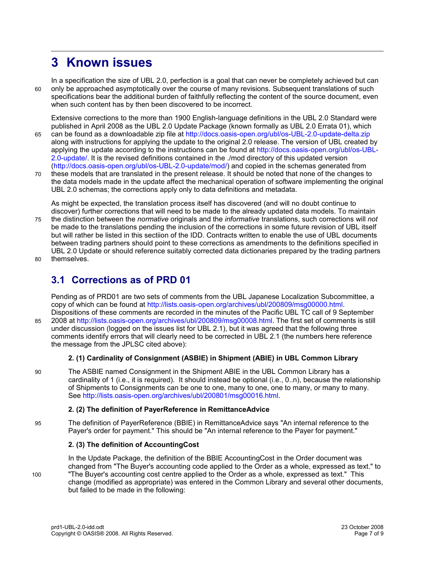## **3 Known issues**

 $60$ 

75

85

In a specification the size of UBL 2.0, perfection is a goal that can never be completely achieved but can only be approached asymptotically over the course of many revisions. Subsequent translations of such specifications bear the additional burden of faithfully reflecting the content of the source document, even when such content has by then been discovered to be incorrect.

Extensive corrections to the more than 1900 English-language definitions in the UBL 2.0 Standard were published in April 2008 as the UBL 2.0 Update Package (known formally as UBL 2.0 Errata 01), which

- can be found as a downloadable zip file at<http://docs.oasis-open.org/ubl/os-UBL-2.0-update-delta.zip> along with instructions for applying the update to the original 2.0 release. The version of UBL created by applying the update according to the instructions can be found at [http://docs.oasis-open.org/ubl/os-UBL-](http://docs.oasis-open.org/ubl/os-UBL-2.0-update/)[2.0-update/.](http://docs.oasis-open.org/ubl/os-UBL-2.0-update/) It is the revised definitions contained in the ./mod directory of this updated version [\(http://docs.oasis-open.org/ubl/os-UBL-2.0-update/mod/\)](http://docs.oasis-open.org/ubl/os-UBL-2.0-update/mod/) and copied in the schemas generated from 65
- these models that are translated in the present release. It should be noted that none of the changes to the data models made in the update affect the mechanical operation of software implementing the original UBL 2.0 schemas; the corrections apply only to data definitions and metadata. 70

As might be expected, the translation process itself has discovered (and will no doubt continue to discover) further corrections that will need to be made to the already updated data models. To maintain the distinction between the *normative* originals and the *informative* translations, such corrections will *not* be made to the translations pending the inclusion of the corrections in some future revision of UBL itself but will rather be listed in this sectiion of the IDD. Contracts written to enable the use of UBL documents

between trading partners should point to these corrections as amendments to the definitions specified in UBL 2.0 Update or should reference suitably corrected data dictionaries prepared by the trading partners

themselves.  $80$ 

### **3.1 Corrections as of PRD 01**

Pending as of PRD01 are two sets of comments from the UBL Japanese Localization Subcommittee, a copy of which can be found at [http://lists.oasis-open.org/archives/ubl/200809/msg00000.html.](http://lists.oasis-open.org/archives/ubl/200809/msg00000.html) Dispositions of these comments are recorded in the minutes of the Pacific UBL TC call of 9 September 2008 at [http://lists.oasis-open.org/archives/ubl/200809/msg00008.html.](http://lists.oasis-open.org/archives/ubl/200809/msg00008.html) The first set of comments is still

under discussion (logged on the issues list for UBL 2.1), but it was agreed that the following three comments identify errors that will clearly need to be corrected in UBL 2.1 (the numbers here reference the message from the JPLSC cited above):

### **2. (1) Cardinality of Consignment (ASBIE) in Shipment (ABIE) in UBL Common Library**

The ASBIE named Consignment in the Shipment ABIE in the UBL Common Library has a cardinality of 1 (i.e., it is required). It should instead be optional (i.e., 0..n), because the relationship of Shipments to Consignments can be one to one, many to one, one to many, or many to many. See [http://lists.oasis-open.org/archives/ubl/200801/msg00016.html.](http://lists.oasis-open.org/archives/ubl/200801/msg00016.html) 90

### **2. (2) The definition of PayerReference in RemittanceAdvice**

The definition of PayerReference (BBIE) in RemittanceAdvice says "An internal reference to the Payer's order for payment." This should be "An internal reference to the Payer for payment." 95

### **2. (3) The definition of AccountingCost**

100

In the Update Package, the definition of the BBIE AccountingCost in the Order document was changed from "The Buyer's accounting code applied to the Order as a whole, expressed as text." to "The Buyer's accounting cost centre applied to the Order as a whole, expressed as text." This change (modified as appropriate) was entered in the Common Library and several other documents, but failed to be made in the following: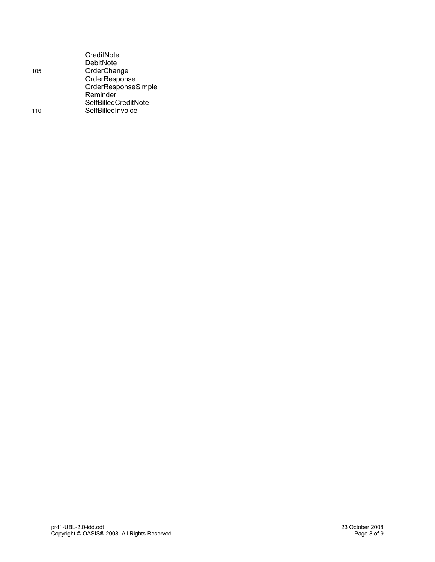| 105 | CreditNote<br>DebitNote<br>OrderChange<br>OrderResponse                             |
|-----|-------------------------------------------------------------------------------------|
| 110 | OrderResponseSimple<br>Reminder<br><b>SelfBilledCreditNote</b><br>SelfBilledInvoice |
|     |                                                                                     |